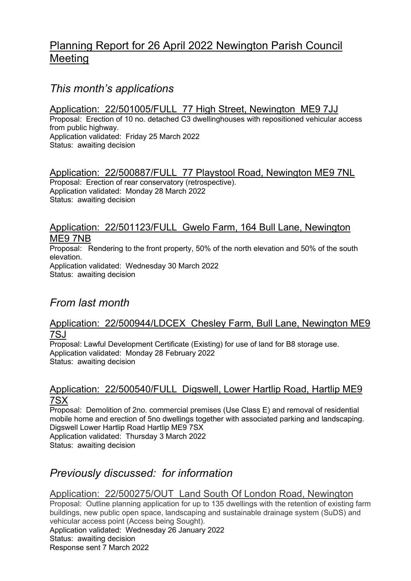## Planning Report for 26 April 2022 Newington Parish Council Meeting

## This month's applications

Application: 22/501005/FULL 77 High Street, Newington ME9 7JJ Proposal: Erection of 10 no. detached C3 dwellinghouses with repositioned vehicular access from public highway. Application validated: Friday 25 March 2022 Status: awaiting decision

#### Application: 22/500887/FULL 77 Playstool Road, Newington ME9 7NL Proposal: Erection of rear conservatory (retrospective). Application validated: Monday 28 March 2022 Status: awaiting decision

#### Application: 22/501123/FULL Gwelo Farm, 164 Bull Lane, Newington ME9 7NB

Proposal: Rendering to the front property, 50% of the north elevation and 50% of the south elevation. Application validated: Wednesday 30 March 2022 Status: awaiting decision

# From last month

#### Application: 22/500944/LDCEX Chesley Farm, Bull Lane, Newington ME9 7SJ

Proposal: Lawful Development Certificate (Existing) for use of land for B8 storage use. Application validated: Monday 28 February 2022 Status: awaiting decision

### Application: 22/500540/FULL Digswell, Lower Hartlip Road, Hartlip ME9 7SX

Proposal: Demolition of 2no. commercial premises (Use Class E) and removal of residential mobile home and erection of 5no dwellings together with associated parking and landscaping. Digswell Lower Hartlip Road Hartlip ME9 7SX Application validated: Thursday 3 March 2022 Status: awaiting decision

## Previously discussed: for information

### Application: 22/500275/OUT Land South Of London Road, Newington

Proposal: Outline planning application for up to 135 dwellings with the retention of existing farm buildings, new public open space, landscaping and sustainable drainage system (SuDS) and vehicular access point (Access being Sought). Application validated: Wednesday 26 January 2022 Status: awaiting decision Response sent 7 March 2022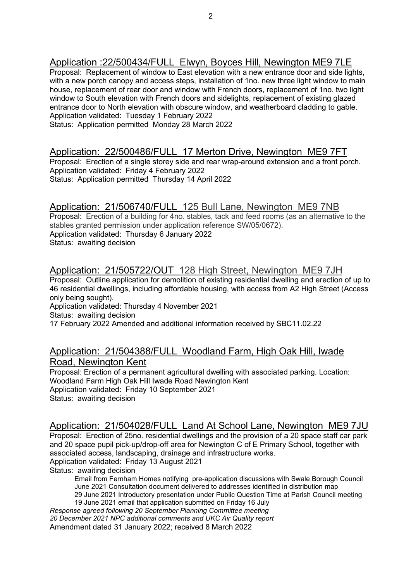## Application :22/500434/FULL Elwyn, Boyces Hill, Newington ME9 7LE

Proposal: Replacement of window to East elevation with a new entrance door and side lights, with a new porch canopy and access steps, installation of 1no. new three light window to main house, replacement of rear door and window with French doors, replacement of 1no. two light window to South elevation with French doors and sidelights, replacement of existing glazed entrance door to North elevation with obscure window, and weatherboard cladding to gable. Application validated: Tuesday 1 February 2022 Status: Application permitted Monday 28 March 2022

#### Application: 22/500486/FULL 17 Merton Drive, Newington ME9 7FT

Proposal: Erection of a single storey side and rear wrap-around extension and a front porch. Application validated: Friday 4 February 2022 Status: Application permitted Thursday 14 April 2022

#### Application: 21/506740/FULL 125 Bull Lane, Newington ME9 7NB

Proposal: Erection of a building for 4no. stables, tack and feed rooms (as an alternative to the stables granted permission under application reference SW/05/0672). Application validated: Thursday 6 January 2022 Status: awaiting decision

## Application: 21/505722/OUT 128 High Street, Newington ME9 7JH

Proposal: Outline application for demolition of existing residential dwelling and erection of up to 46 residential dwellings, including affordable housing, with access from A2 High Street (Access only being sought).

Application validated: Thursday 4 November 2021

Status: awaiting decision

17 February 2022 Amended and additional information received by SBC11.02.22

#### Application: 21/504388/FULL Woodland Farm, High Oak Hill, Iwade Road, Newington Kent

Proposal: Erection of a permanent agricultural dwelling with associated parking. Location: Woodland Farm High Oak Hill Iwade Road Newington Kent Application validated: Friday 10 September 2021 Status: awaiting decision

### Application: 21/504028/FULL Land At School Lane, Newington ME9 7JU

Proposal: Erection of 25no. residential dwellings and the provision of a 20 space staff car park and 20 space pupil pick-up/drop-off area for Newington C of E Primary School, together with associated access, landscaping, drainage and infrastructure works.

Application validated: Friday 13 August 2021

Status: awaiting decision

Email from Fernham Homes notifying pre-application discussions with Swale Borough Council June 2021 Consultation document delivered to addresses identified in distribution map 29 June 2021 Introductory presentation under Public Question Time at Parish Council meeting 19 June 2021 email that application submitted on Friday 16 July

Response agreed following 20 September Planning Committee meeting 20 December 2021 NPC additional comments and UKC Air Quality report Amendment dated 31 January 2022; received 8 March 2022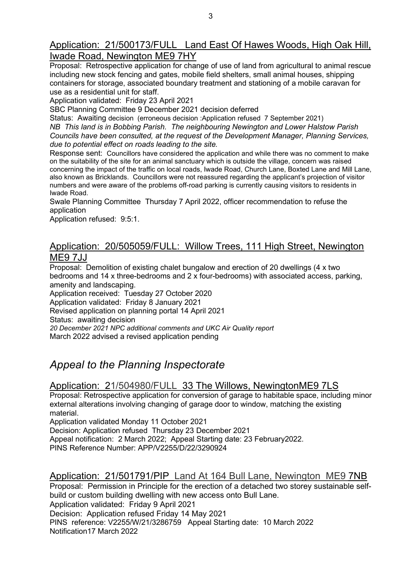Proposal: Retrospective application for change of use of land from agricultural to animal rescue including new stock fencing and gates, mobile field shelters, small animal houses, shipping containers for storage, associated boundary treatment and stationing of a mobile caravan for use as a residential unit for staff.

Application validated: Friday 23 April 2021

SBC Planning Committee 9 December 2021 decision deferred

Status: Awaiting decision (erroneous decision :Application refused 7 September 2021) NB This land is in Bobbing Parish. The neighbouring Newington and Lower Halstow Parish Councils have been consulted, at the request of the Development Manager, Planning Services, due to potential effect on roads leading to the site.

Response sent: Councillors have considered the application and while there was no comment to make on the suitability of the site for an animal sanctuary which is outside the village, concern was raised concerning the impact of the traffic on local roads, Iwade Road, Church Lane, Boxted Lane and Mill Lane, also known as Bricklands. Councillors were not reassured regarding the applicant's projection of visitor numbers and were aware of the problems off-road parking is currently causing visitors to residents in Iwade Road.

Swale Planning Committee Thursday 7 April 2022, officer recommendation to refuse the application

Application refused: 9:5:1.

#### Application: 20/505059/FULL: Willow Trees, 111 High Street, Newington ME9 7JJ

Proposal: Demolition of existing chalet bungalow and erection of 20 dwellings (4 x two bedrooms and 14 x three-bedrooms and 2 x four-bedrooms) with associated access, parking, amenity and landscaping.

Application received: Tuesday 27 October 2020

Application validated: Friday 8 January 2021

Revised application on planning portal 14 April 2021

Status: awaiting decision

20 December 2021 NPC additional comments and UKC Air Quality report

March 2022 advised a revised application pending

## Appeal to the Planning Inspectorate

### Application: 21/504980/FULL 33 The Willows, NewingtonME9 7LS

Proposal: Retrospective application for conversion of garage to habitable space, including minor external alterations involving changing of garage door to window, matching the existing material.

Application validated Monday 11 October 2021

Decision: Application refused Thursday 23 December 2021

Appeal notification: 2 March 2022; Appeal Starting date: 23 February2022.

PINS Reference Number: APP/V2255/D/22/3290924

#### Application: 21/501791/PIP Land At 164 Bull Lane, Newington ME9 7NB

Proposal: Permission in Principle for the erection of a detached two storey sustainable selfbuild or custom building dwelling with new access onto Bull Lane.

Application validated: Friday 9 April 2021

Decision: Application refused Friday 14 May 2021

PINS reference: V2255/W/21/3286759 Appeal Starting date: 10 March 2022 Notification17 March 2022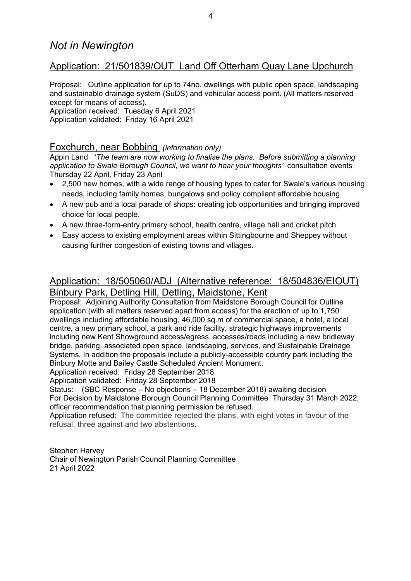## Application: 21/501839/OUT Land Off Otterham Quay Lane Upchurch

Proposal: Outline application for up to 74no. dwellings with public open space, landscaping and sustainable drainage system (SuDS) and vehicular access point. (All matters reserved except for means of access).

Application received: Tuesday 6 April 2021 Application validated: Friday 16 April 2021

### Foxchurch, near Bobbing (information only)

Appin Land 'The team are now working to finalise the plans. Before submitting a planning application to Swale Borough Council, we want to hear your thoughts' consultation events Thursday 22 April, Friday 23 April

- 2,500 new homes, with a wide range of housing types to cater for Swale's various housing needs, including family homes, bungalows and policy compliant affordable housing
- A new pub and a local parade of shops: creating job opportunities and bringing improved choice for local people.
- A new three-form-entry primary school, health centre, village hall and cricket pitch
- Easy access to existing employment areas within Sittingbourne and Sheppey without causing further congestion of existing towns and villages.

## Application: 18/505060/ADJ (Alternative reference: 18/504836/EIOUT) Binbury Park, Detling Hill, Detling, Maidstone, Kent

Proposal: Adjoining Authority Consultation from Maidstone Borough Council for Outline application (with all matters reserved apart from access) for the erection of up to 1,750 dwellings including affordable housing, 46,000 sq.m of commercial space, a hotel, a local centre, a new primary school, a park and ride facility, strategic highways improvements including new Kent Showground access/egress, accesses/roads including a new bridleway bridge, parking, associated open space, landscaping, services, and Sustainable Drainage Systems. In addition the proposals include a publicly-accessible country park including the Binbury Motte and Bailey Castle Scheduled Ancient Monument.

Application received: Friday 28 September 2018

Application validated: Friday 28 September 2018

Status: (SBC Response – No objections – 18 December 2018) awaiting decision For Decision by Maidstone Borough Council Planning Committee Thursday 31 March 2022; officer recommendation that planning permission be refused.

Application refused: The committee rejected the plans, with eight votes in favour of the refusal, three against and two abstentions.

Stephen Harvey Chair of Newington Parish Council Planning Committee 21 April 2022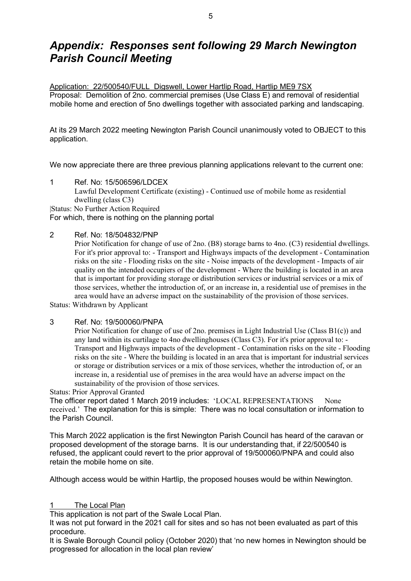## Appendix: Responses sent following 29 March Newington Parish Council Meeting

Application: 22/500540/FULL Digswell, Lower Hartlip Road, Hartlip ME9 7SX Proposal: Demolition of 2no. commercial premises (Use Class E) and removal of residential mobile home and erection of 5no dwellings together with associated parking and landscaping.

At its 29 March 2022 meeting Newington Parish Council unanimously voted to OBJECT to this application.

We now appreciate there are three previous planning applications relevant to the current one:

1 Ref. No: 15/506596/LDCEX Lawful Development Certificate (existing) - Continued use of mobile home as residential dwelling (class C3) |Status: No Further Action Required

For which, there is nothing on the planning portal

#### 2 Ref. No: 18/504832/PNP

Prior Notification for change of use of 2no. (B8) storage barns to 4no. (C3) residential dwellings. For it's prior approval to: - Transport and Highways impacts of the development - Contamination risks on the site - Flooding risks on the site - Noise impacts of the development - Impacts of air quality on the intended occupiers of the development - Where the building is located in an area that is important for providing storage or distribution services or industrial services or a mix of those services, whether the introduction of, or an increase in, a residential use of premises in the area would have an adverse impact on the sustainability of the provision of those services.

Status: Withdrawn by Applicant

#### 3 Ref. No: 19/500060/PNPA

Prior Notification for change of use of 2no. premises in Light Industrial Use (Class B1(c)) and any land within its curtilage to 4no dwellinghouses (Class C3). For it's prior approval to: - Transport and Highways impacts of the development - Contamination risks on the site - Flooding risks on the site - Where the building is located in an area that is important for industrial services or storage or distribution services or a mix of those services, whether the introduction of, or an increase in, a residential use of premises in the area would have an adverse impact on the sustainability of the provision of those services.

Status: Prior Approval Granted

The officer report dated 1 March 2019 includes: 'LOCAL REPRESENTATIONS None received.' The explanation for this is simple: There was no local consultation or information to the Parish Council.

This March 2022 application is the first Newington Parish Council has heard of the caravan or proposed development of the storage barns. It is our understanding that, if 22/500540 is refused, the applicant could revert to the prior approval of 19/500060/PNPA and could also retain the mobile home on site.

Although access would be within Hartlip, the proposed houses would be within Newington.

#### The Local Plan

This application is not part of the Swale Local Plan.

It was not put forward in the 2021 call for sites and so has not been evaluated as part of this procedure.

It is Swale Borough Council policy (October 2020) that 'no new homes in Newington should be progressed for allocation in the local plan review'